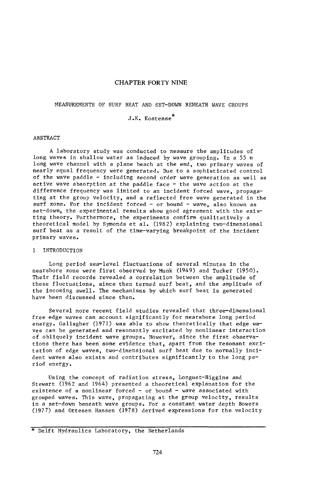# CHAPTER FORTY NINE

# MEASUREMENTS OF SURF BEAT AND SET-DOWN BENEATH WAVE GROUPS

J.K, Kostense

## ABSTRACT

A laboratory study was conducted to measure the amplitudes of long waves In shallow water as induced by wave grouping. In a 55 m long wave channel with a plane beach at the end, two primary waves of nearly equal frequency were generated. Due to a sophisticated control of the wave paddle - including second order wave generation as well as active wave absorption at the paddle face  $-$  the wave action at the difference frequency was limited to an incident forced wave, propagating at the group velocity, and a reflected free wave generated in the surf zone. For the incident forced - or bound - wave, also known as set-down, the experimental results show good agreement with the existing theory. Furthermore, the experiments confirm qualitatively a theoretical model by Symonds et al. (198 2) explaining two-dimensional surf beat as a result of the time-varying breakpoint of the incident primary waves.

#### <sup>1</sup> INTRODUCTION

Long period sea-level fluctuations of several minutes in the nearshore zone were first observed by Munk (1949) and Tucker (1950). Their field records revealed a correlation between the amplitude of these fluctuations, since then termed surf beat, and the amplitude of the incoming swell. The mechanisms by which surf beat is generated have been discussed since then.

Several more recent field studies revealed that three-dimensional free edge waves can account significantly for nearshore long period energy. Gallagher (1971) was able to show theoretically that edge waves can be generated and resonantly excitated by nonlinear interaction of obliquely incident wave groups. However, since the first observations there has been some evidence that, apart from the resonant excitation of edge waves, two-dimensional surf beat due to normally incident waves also exists and contributes significantly to the long period energy.

Using the concept of radiation stress, Longuet-Higgins and Stewart (1962 and 1964) presented a theoretical explanation for the existence of a nonlinear forced  $-$  or bound  $-$  wave associated with grouped waves. This wave, propagating at the group velocity, results in a set-down beneath wave groups. For a constant water depth Bowers (1977) and Ottesen Hansen (1978) derived expressions for the velocity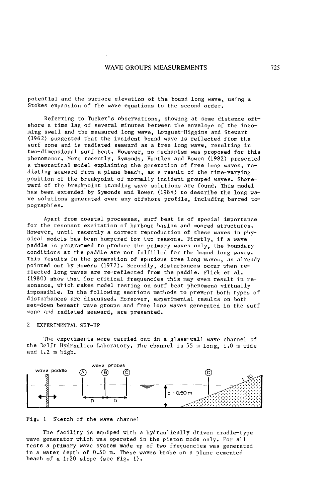potential and the surface elevation of the bound long wave, using a Stokes expansion of the wave equations to the second order.

Referring to Tucker's observations, showing at some distance offshore a time lag of several minutes between the envelope of the incoming swell and the measured long wave, Longuet-Higgins and Stewart (1962) suggested that the incident bound wave is reflected from the surf zone and is radiated seaward as a free long wave, resulting in two-dimensional surf beat. However, no mechanism was proposed for this phenomenon. More recently, Symonds, Huntley and Bowen (1982) presented a theoretical model explaining the generation of free long waves, radiating seaward from a plane beach, as a result of the time-varying position of the breakpoint of normally incident grouped waves. Shoreward of the breakpoint standing wave solutions are found. This model has been extended by Symonds and Bowen (1984) to describe the long wave solutions generated over any offshore profile, including barred topographies.

Apart from coastal processes, surf beat is of special importance for the resonant excitation of harbour basins and moored structures. However, until recently a correct reproduction of these waves in physical models has been hampered for two reasons. Firstly, if a wave paddle is programmed to produce the primary waves only, the boundary conditions at the paddle are not fulfilled for the bound long waves. This results in the generation of spurious free long waves, as already pointed out by Bowers (1977). Secondly, disturbances occur when reflected long waves are re-reflected from the paddle. Flick et al. (1980) show that for critical frequencies this may even result in resonance, which makes model testing on surf beat phenomena virtually impossible. In the following sections methods to prevent both types of disturbances are discussed. Moreover, experimental results on both set-down beneath wave groups and free long waves generated in the surf zone and radiated seaward, are presented.

#### <sup>2</sup> EXPERIMENTAL SET-UP

The experiments were carried out in a glass-wall wave channel of the Delft Hydraulics Laboratory. The channel is 55 m long, 1.0 m wide and 1.2 m high.



#### Fig. <sup>1</sup> Sketch of the wave channel

The facility is equiped with a hydraulically driven cradle-type wave generator which was operated in the piston mode only. For all tests a primary wave system made up of two frequencies was generated in a water depth of 0.50 m. These waves broke on a plane cemented beach of a  $1:20$  slope (see Fig. 1).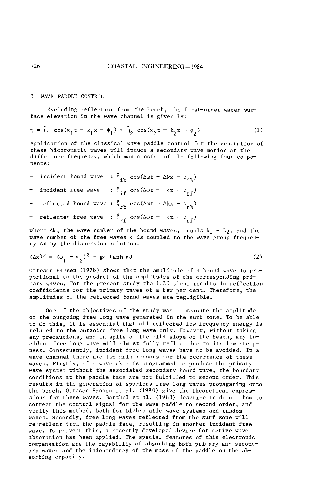### 3 WAVE PADDLE CONTROL

Excluding reflection from the beach, the first-order water surface elevation in the wave channel is given by:

$$
\eta = \hat{\eta}_1 \cos(\omega_1 t - k_1 x - \phi_1) + \hat{\eta}_2 \cos(\omega_2 t - k_2 x - \phi_2)
$$
 (1)

Application of the classical wave paddle control for the generation of these bichromatic waves will induce a secondary wave motion at the difference frequency, which may consist of the following four components:

incident bound wave :  $\zeta_{\tt ib}$  cos( $\Delta \omega$ t -  $\Delta \text{kx}$  -  $\phi_{\tt ib}$ ) incident free wave  $\qquad$ :  $\zeta_{\pm \epsilon}$  cos( $\Delta \omega t - \kappa x - \phi_{\pm \epsilon}$ ) reflected bound wave :  $\hat{\zeta}_{\text{rb}}$  cos( $\Delta \omega t + \Delta k x - \phi_{\text{rb}}$ ) reflected free wave :  $\hat{\zeta}_{\text{rf}}$  cos( $\Delta \omega t$  +  $\kappa x - \phi_{\text{rf}}$ )

where  $\Delta k$ , the wave number of the bound waves, equals  $k_1 - k_2$ , and the wave number of the free waves  $\kappa$  is coupled to the wave group frequen $cy \Delta\omega$  by the dispersion relation:

$$
(\Delta\omega)^2 = (\omega, -\omega_0)^2 = \text{gK} \tanh \kappa \, d \tag{2}
$$

Ottesen Hansen (1978) shows that the amplitude of a bound wave is proportional to the product of the amplitudes of the corresponding primary waves. For the present study the 1:20 slope results in reflection coefficients for the primary waves of a few per cent. Therefore, the amplitudes of the reflected bound waves are negligible.

One of the objectives of the study was to measure the amplitude of the outgoing free long wave generated in the surf zone. To be able to do this, it is essential that all reflected low frequency energy is related to the outgoing free long wave only. However, without taking any precautions, and in spite of the mild slope of the beach, any incident free long wave will almost fully reflect due to its low steepness. Consequently, incident free long waves have to be avoided. In a wave channel there are two main reasons for the occurrence of these waves. Firstly, if a wavemaker is programmed to produce the primary wave system without the associated secondary bound wave, the boundary conditions at the paddle face are not fulfilled to second order. This results in the generation of spurious free long waves propagating onto the beach. Ottesen Hansen et al. (1980) give the theoretical expressions for these waves. Barthel et al. (1983) describe in detail how to correct the control signal for the wave paddle to second order, and verify this method, both for bichromatic wave systems and random waves. Secondly, free long waves reflected from the surf zone will re-reflect from the paddle face, resulting in another incident free wave. To prevent this, a recently developed device for active wave absorption has been applied. The special features of this electronic compensation are the capability of absorbing both primary and secondary waves and the independency of the mass of the paddle on the absorbing capacity.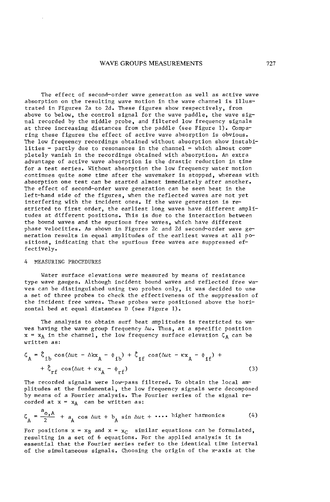The effect of second-order wave generation as well as active wave absorption on the resulting wave motion in the wave channel is illustrated in Figures 2a to 2d. These figures show respectively, from above to below, the control signal for the wave paddle, the wave signal recorded by the middle probe, and filtered low frequency signals at three increasing distances from the paddle (see Figure 1). Comparing these figures the effect of active wave absorption is obvious. The low frequency recordings obtained without absorption show instabilities  $-$  partly due to resonances in the channel  $-$  which almost completely vanish in the recordings obtained with absorption. An extra advantage of active wave absorption is the drastic reduction in time for a test series. Without absorption the low frequency water motion continues quite some time after the wavemaker is stopped, whereas with absorption one test can be started almost immediately after another. The effect of second-order wave generation can be seen best in the left-hand side of the figures, when the reflected waves are not yet interfering with the incident ones. If the wave generation is restricted to first order, the earliest long waves have different amplitudes at different positions. This is due to the interaction between the bound waves and the spurious free waves, which have different phase velocities. As shown in Figures 2c and 2d second-order wave generation results in equal amplitudes of the earliest waves at all positions, indicating that the spurious free waves are suppressed effectively.

#### 4 MEASURING PROCEDURES

a ,

Water surface elevations were measured by means of resistance type wave gauges. Although incident bound waves and reflected free waves can be distinguished using two probes only, it was decided to use a set of three probes to check the effectiveness of the suppression of the incident free waves. These probes were positioned above the horizontal bed at equal distances D (see Figure 1).

The analysis to obtain surf beat amplitudes is restricted to waves having the wave group frequency  $\Delta\omega$ . Thus, at a specific position  $x = x_A$  in the channel, the low frequency surface elevation  $\zeta_A$  can be written as:

$$
\zeta_{A} = \hat{\zeta}_{1b} \cos(\Delta\omega t - \Delta k x_{A} - \phi_{1b}) + \hat{\zeta}_{1f} \cos(\Delta\omega t - \kappa x_{A} - \phi_{1f}) + + \hat{\zeta}_{rf} \cos(\Delta\omega t + \kappa x_{A} - \phi_{rf})
$$
\n(3)

The recorded signals were low-pass filtered. To obtain the local amplitudes at the fundamental, the low frequency signals were decomposed by means of a Fourier analysis. The Fourier series of the signal recorded at  $x = x_A$  can be written as:

$$
\zeta_{\mathbf{A}} = \frac{\omega_{\mathbf{0}, \mathbf{A}}}{2} + a_{\mathbf{A}} \cos \Delta \omega t + b_{\mathbf{A}} \sin \Delta \omega t + \cdots \text{ higher harmonics} \tag{4}
$$

For positions  $x = x_B$  and  $x = x_C$  similar equations can be formulated, resulting in a set of <sup>6</sup> equations. For the applied analysis it is essential that the Fourier series refer to the identical time interval of the simultaneous signals. Choosing the origin of the x-axls at the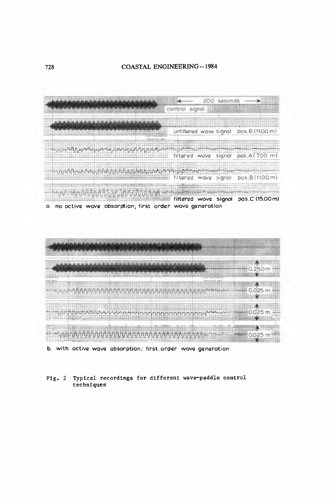728 COASTAL ENGINEERING-1984





b. with octive wave absorption; first order wove generotion

# Fig. 2 Typical recordings for different wave-paddle control techniques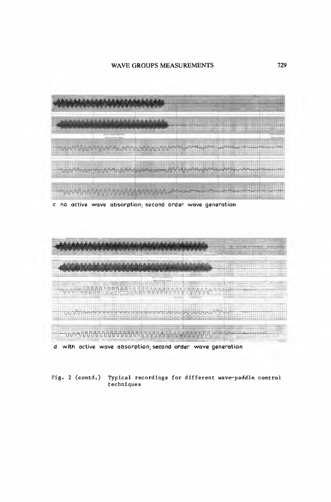

c. no active wave absorption; second order wave generation



d. with active wave absorption second order wave generation

Fig. 2 (contd.) Typical recordings for different wave-paddle control techniques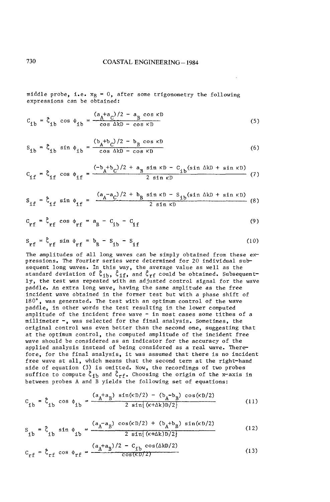middle probe, i.e.  $x_R = 0$ , after some trigonometry the following expressions can be obtained:

$$
C_{\text{1b}} = \zeta_{\text{1b}} \cos \phi_{\text{1b}} = \frac{(a_{\text{A}} + a_{\text{C}})/2 - a_{\text{B}} \cos \kappa D}{\cos \Delta k D - \cos \kappa D}
$$
(5)

$$
S_{\text{1b}} = \zeta_{\text{1b}} \sin \phi_{\text{1b}} = \frac{(b_{\text{A}} + b_{\text{C}})/2 - b_{\text{B}} \cos \kappa D}{\cos \Delta k D - \cos \kappa D} \tag{6}
$$

$$
C_{\text{if}} = \zeta_{\text{if}} \cos \phi_{\text{if}} = \frac{(-b_A + b_C)/2 + a_B \sin \kappa D - C_{\text{if}} (\sin \Delta k D + \sin \kappa D)}{2 \sin \kappa D} \tag{7}
$$

$$
S_{\text{if}} = \hat{\zeta}_{\text{if}} \sin \phi_{\text{if}} = \frac{(a_{A} - a_{C})/2 + b_{B} \sin \kappa D - S_{\text{if}} (\sin \Delta k D + \sin \kappa D)}{2 \sin \kappa D} \tag{8}
$$

$$
C_{\mathbf{rf}} = \hat{\zeta}_{\mathbf{rf}} \cos \phi_{\mathbf{rf}} = a_{\mathbf{B}} - C_{\mathbf{ib}} - C_{\mathbf{if}}
$$
\n(9)

$$
S_{rf} = \hat{\zeta}_{rf} \sin \phi_{rf} = b_B - S_{1b} - S_{1f}
$$
 (10)

The amplitudes of all long waves can be simply obtained from these  $ex$ pressions. The Fourier series were determined for 20 individual subsequent long waves. In this way, the average value as well as the standard deviation of  $\bm{\zeta}_\mathbf{ib},\ \bm{\zeta}_\mathbf{if},\$  and  $\bm{\zeta}_\mathbf{rf}$  could be obtained. Subsequent<del>-</del> ly, the test was repeated with an adjusted control signal for the wave paddle. An extra long wave, having the same amplitude as the free incident wave obtained in the former test hut with a phase shift of 180°, was generated. The test with an optimum control of the wave paddle, in other words the test resulting in the lower computed amplitude of the incident free wave - in most cases some tithes of a millimeter -, was selected for the final analysis. Sometimes, the original control was even better than the second one, suggesting that at the optimum control, the computed amplitude of the incident free wave should be considered as an indicator for the accuracy of the applied analysis instead of being considered as a real wave. Therefore, for the final analysis, it was assumed that there is no incident free wave at all, which means that the second term at the right-hand side of equation (3) is omitted. Now, the recordings of two probes suffice to compute  $\hat{\zeta}_{\texttt{ib}}$  and  $\hat{\zeta}_{\texttt{rf*}}$  Choosing the origin of the x-axis in between probes A and B yields the following set of equations:

$$
C_{\text{1b}} = \xi_{\text{1b}} \cos \phi_{\text{1b}} = \frac{(a_{\text{A}} + a_{\text{B}}) \sin(\kappa \frac{D}{2}) - (b_{\text{A}} - b_{\text{B}}) \cos(\kappa \frac{D}{2})}{2 \sin[(\kappa + \Delta k) \frac{D}{2}]}
$$
(11)

$$
S_{1b} = \hat{\zeta}_{1b} \sin \phi_{1b} = \frac{(a_{A} - a_{B}) \cos(\kappa D/2) + (b_{A} + b_{B}) \sin(\kappa D/2)}{2 \sin[(\kappa + \Delta k)D/2]}
$$
(12)

$$
C_{\rm rf} = \hat{\zeta}_{\rm rf} \cos \phi_{\rm rf} = \frac{(a_{\rm A} + a_{\rm B})/2 - C_{\rm 1b} \cos(\Delta k D/2)}{\cos(kD/2)} \tag{13}
$$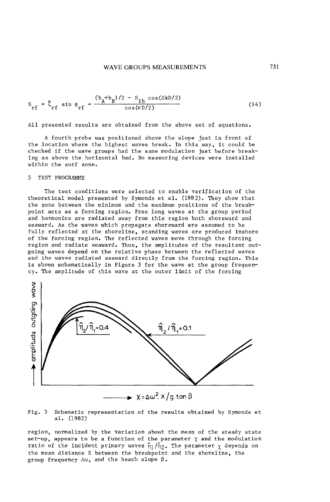$$
S_{rf} = \xi_{rf} \sin \phi_{rf} = \frac{(b_A + b_B)/2 - S_{1b} \cos(\Delta k D/2)}{\cos(\kappa D/2)}
$$
(14)

All presented results are obtained from the above set of equations.

A fourth probe was positioned above the slope just in front of the location where the highest waves break. In this way, it could be checked if the wave groups had the same modulation just before breaking as above the horizontal bed. No measuring devices were installed within the surf zone.

#### 5 TEST PROGRAMME

The test conditions were selected to enable verification of the theoretical model presented by Symonds et al. (1982). They show that the zone between the minimum and the maximum positions of the breakpoint acts as a forcing region. Free long waves at the group period and harmonics are radiated away from this region both shoreward and seaward. As the waves which propagate shoreward are assumed to be fully reflected at the shoreline, standing waves are produced inshore of the forcing region. The reflected waves move through the forcing region and radiate seaward. Thus, the amplitudes of the resultant outgoing waves depend on the relative phase between the reflected waves and the waves radiated seaward directly from the forcing region. This is shown schematically in Figure 3 for the wave at the group frequency. The amplitude of this wave at the outer limit of the forcing



Fig. <sup>3</sup> Schematic representation of the results obtained by Symonds et al. (1982)

region, normalized by the variation about the mean of the steady state set-up, appears to be a function of the parameter  $\chi$  and the modulation ratio of the incident primary waves  $\hat{\eta}_1/\hat{\eta}_2$ . The parameter  $\chi$  depends on the mean distance X between the breakpoint and the shoreline, the group frequency  $\Delta\omega$ , and the beach slope  $\beta$ .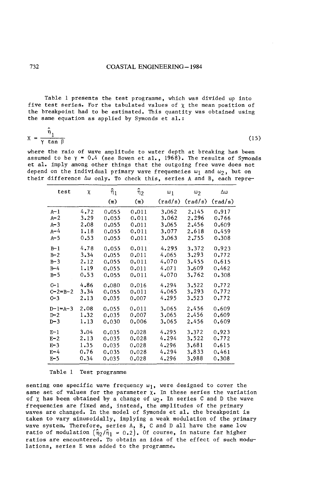Table <sup>1</sup> presents the test programme, which was divided up into five test series. For the tabulated values of  $\chi$  the mean position of the breakpoint had to be estimated. This quantity was obtained using the same equation as applied by Symonds et al.:

$$
X = \frac{\eta_1}{\gamma \tan \beta} \tag{15}
$$

where the raio of wave amplitude to water depth at breaking has been assumed to be  $\gamma = 0.4$  (see Bowen et al., 1968). The results of Symonds et al. imply among other things that the outgoing free wave does not depend on the individual primary wave frequencies  $\omega_1$  and  $\omega_2$ , but on their difference Aw only. To check this, series A and B, each repre-

| test            | χ    | $\boldsymbol{\hat{\eta}_1}$ | ۰<br>n <sub>2</sub> | $\omega_1$ | $\omega_2$ | Δω      |
|-----------------|------|-----------------------------|---------------------|------------|------------|---------|
|                 |      | (m)                         | (m)                 | (rad/s)    | (rad/s)    | (rad/s) |
| $A-1$           | 4.72 | 0.055                       | 0.011               | 3,062      | 2,145      | 0.917   |
| $A - 2$         | 3.29 | 0.055                       | 0.011               | 3.062      | 2,296      | 0.766   |
| $A - 3$         | 2.08 | 0.055                       | 0.011               | 3.065      | 2.456      | 0.609   |
| $A - 4$         | 1,18 | 0.055                       | 0.011               | 3,077      | 2.618      | 0.459   |
| $A - 5$         | 0.53 | 0.055                       | 0.011               | 3,063      | 2.755      | 0.308   |
| $B-1$           | 4.78 | 0.055                       | 0.011               | 4.295      | 3.372      | 0.923   |
| $B-2$           | 3.34 | 0.055                       | 0.011               | 4,065      | 3,293      | 0.772   |
| $B-3$           | 2.12 | 0.055                       | 0.011               | 4.070      | 3.455      | 0.615   |
| $B - 4$         | 1.19 | 0.055                       | 0.011               | 4,071      | 3,609      | 0,462   |
| $B - 5$         | 0.53 | 0.055                       | 0.011               | 4.070      | 3.762      | 0.308   |
| $C-1$           | 4.86 | 0.080                       | 0.016               | 4.294      | 3.522      | 0.772   |
| $C - 2 = B - 2$ | 3.34 | 0.055                       | 0.011               | 4,065      | 3,293      | 0.772   |
| $C-3$           | 2.13 | 0.035                       | 0,007               | 4.295      | 3.523      | 0,772   |
| $D - 1 = A - 3$ | 2.08 | 0.055                       | 0.011               | 3.065      | 2.456      | 0.609   |
| $D-2$           | 1.32 | 0.035                       | 0.007               | 3,065      | 2,456      | 0,609   |
| $D-3$           | 1.13 | 0.030                       | 0.006               | 3.065      | 2.456      | 0.609   |
| $E-1$           | 3.04 | 0.035                       | 0.028               | 4.295      | 3.372      | 0.923   |
| $E-2$           | 2.13 | 0.035                       | 0.028               | 4.294      | 3.522      | 0.772   |
| $E-3$           | 1.35 | 0.035                       | 0.028               | 4.296      | 3.681      | 0.615   |
| $E - 4$         | 0.76 | 0.035                       | 0.028               | 4.294      | 3,833      | 0.461   |
| $E-5$           | 0.34 | 0.035                       | 0.028               | 4.296      | 3.988      | 0.308   |

Table <sup>1</sup> Test programme

senting one specific wave frequency  $\omega_1$ , were designed to cover the same set of values for the parameter  $\chi_\bullet$  In these series the variation of  $\chi$  has been obtained by a change of  $\omega_2$ . In series C and D the wave frequencies are fixed and, instead, the amplitudes of the primary waves are changed. In the model of Symonds et al. the breakpoint is taken to vary slnusoidally, implying a weak modulation of the primary wave system. Therefore, series A, B, C and D all have the same low ratio of modulation  $(\hat{\eta}_2/\hat{\eta}_1 = 0.2)$ . Of course, in nature far higher ratios are encountered. To obtain an idea of the effect of such modulations, series E was added to the programme.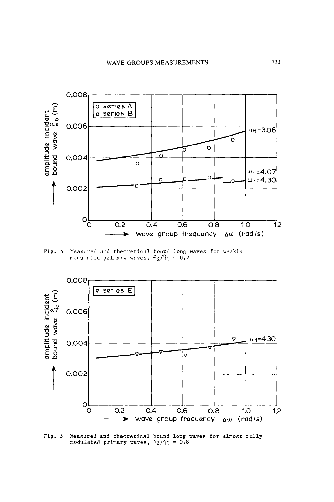

Fig. 4 Measured and theoretical bound long waves for weakly<br>modulated primary waves,  $\hat{\eta}_2/\hat{\eta}_1 = 0.2$ 



Fig. 5 Measured and theoretical bound long waves for almost fully modulated primary waves,  $\hat{\eta}_2/\hat{\eta}_1 = 0.8$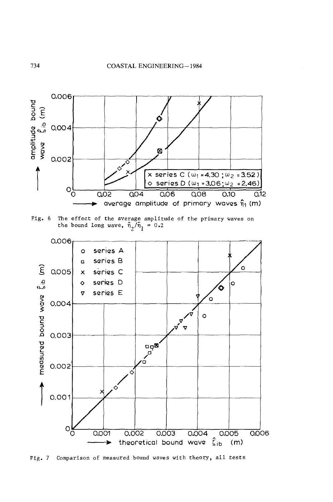

Fig. 7 Comparison of measured bound waves with theory, all tests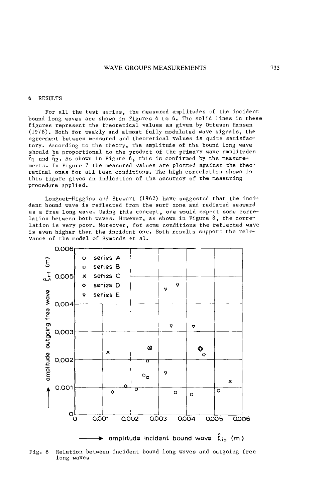#### 6 RESULTS

For all the test series, the measured amplitudes of the Incident bound long waves are shown in Figures 4 to 6. The solid lines in these figures represent the theoretical values as given by Ottesen Hansen (1978). Both for weakly and almost fully modulated wave signals, the agreement between measured and theoretical values is quite satisfactory. According to the theory, the amplitude of the bound long wave should be proportional to the product of the primary wave amplitudes  $\eta_1$  and  $\eta_2$ . As shown in Figure 6, this is confirmed by the measurements. In Figure 7 the measured values are plotted against the theoretical ones for all test conditions. The high correlation shown in this figure gives an indication of the accuracy of the measuring procedure applied.

Longuet-Higgins and Stewart (1962) have suggested that the incident bound wave is reflected from the surf zone and radiated seaward as a free long wave. Using this concept, one would expect some correlation between both waves. However, as shown in Figure 8, the correlation is very poor. Moreover, for some conditions the reflected wave is even higher than the incident one. Both results support the relevance of the model of Symonds et al.



Fig. 8 Relation between incident bound long waves and outgoing free long waves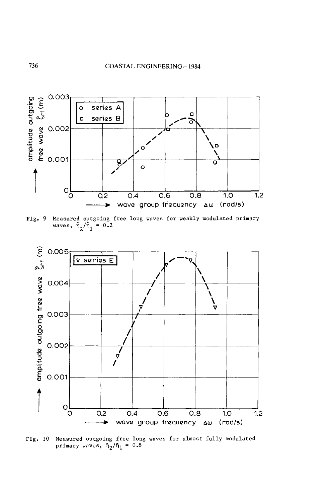

Fig. 9 Measured outgoing free long waves for weakly modulated primary waves,  $\eta_{\textit{o}}/\eta_{\textit{i}} = 0.2$ 



Fig. 10 Measured outgoing free long waves for almost fully modulated<br>primary waves,  $\hat{\eta}_2/\hat{\eta}_1 = 0.8$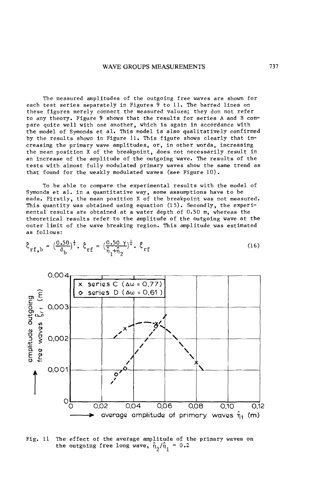The measured amplitudes of the outgoing free waves are shown for each test series separately in Figures <sup>9</sup> to 11. The barred lines on these figures merely connect the measured values; they don not refer to any theory. Figure 9 shows that the results for series A and B compare quite well with one another, which is again in accordance with the model of Symonds et al. This model is also qualitatively confirmed by the results shown in Figure 11. This figure shows clearly that increasing the primary wave amplitudes, or, in other words, increasing the mean position X of the breakpoint, does not necessarily result in an increase of the amplitude of the outgoing wave. The results of the tests with almost fully modulated primary waves show the same trend as that found for the weakly modulated waves (see Figure 10).

To be able to compare the experimental results with the model of Symonds et al. in a quantitative way, some assumptions have to be made. Firstly, the mean position X of the breakpoint was not measured. This quantity was obtained using equation (15). Secondly, the experimental results are obtained at a water depth of 0.50 m, whereas the theoretical results refer to the amplitude of the outgoing wave at the outer limit of the wave breaking region. This amplitude was estimated as follows:

$$
\hat{\xi}_{\mathbf{rf},b} = \left(\frac{0.50}{d_b}\right)^{\frac{1}{4}} \cdot \hat{\xi}_{\mathbf{rf}} = \left(\frac{0.50 \, \gamma}{\hat{\eta}_1 + \hat{\eta}_2}\right)^{\frac{1}{4}} \cdot \hat{\xi}_{\mathbf{rf}}
$$
(16)



Fig. 11 The effect of the average amplitude of the primary waves on the outgoing free long wave,  $\hat{\eta}_{\alpha}/\hat{\eta}_{\alpha} = 0.2$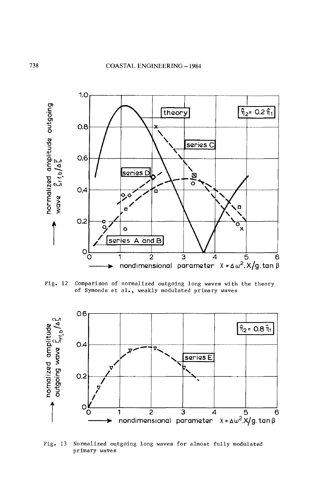

Fig. 12 Comparison of normalized outgoing long waves with the theory of Symonds et al., weakly modulated primary waves



Fig. 13 Normalized outgoing long waves for almost fully modulated primary waves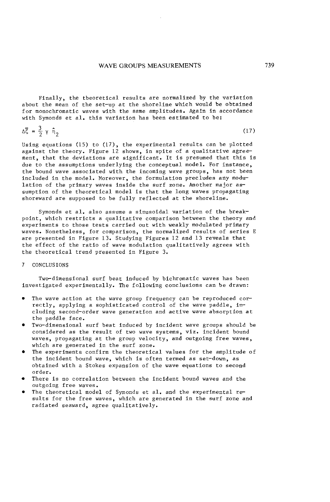Finally, the theoretical results are normalized by the variation about the mean of the set-up at the shoreline which would be obtained for monochromatic waves with the same amplitudes. Again in accordance with Symonds et al. this variation has been estimated to be:

$$
\Delta \overline{\zeta} = \frac{3}{2} \gamma \hat{\eta}_2 \tag{17}
$$

Using equations (15) to (17), the experimental results can be plotted against the theory. Figure 12 shows, in spite of a qualitative agreement, that the deviations are significant. It is presumed that this is due to the assumptions underlying the conceptual model. For instance, the bound wave associated with the incoming wave groups, has not been included in the model. Moreover, the formulation precludes any modulation of the primary waves inside the surf zone. Another major assumption of the theoretical model is that the long waves propagating shoreward are supposed to be fully reflected at the shoreline.

Symonds et al. also assume a sinusoidal variation of the breakpoint, which restricts a qualitative comparison between the theory and experiments to those tests carried out with weakly modulated primary waves. Nonetheless, for comparison, the normalized results of series E are presented in Figure 13. Studying Figures 12 and 13 reveals that the effect of the ratio of wave modulation qualitatively agrees with the theoretical trend presented in Figure 3.

## 7 CONCLUSIONS

Two-dimensional surf beat induced by bichromatic waves has been investigated experimentally. The following conclusions can be drawn:

- The wave action at the wave group frequency can be reproduced correctly, applying a sophisticated control of the wave paddle, including second-order wave generation and active wave absorption at the paddle face.
- Two-dimensional surf beat induced by incident wave groups should be considered as the result of two wave systems, viz. incident bound waves, propagating at the group velocity, and outgoing free waves, which are generated in the surf zone.
- The experiments confirm the theoretical values for the amplitude of the incident bound wave, which is often termed as set-down, as obtained with a Stokes expansion of the wave equations to second order.
- There is no correlation between the incident bound waves and the outgoing free waves.
- The theoretical model of Symonds et al. and the experimental results for the free waves, which are generated in the surf zone and radiated seaward, agree qualitatively.